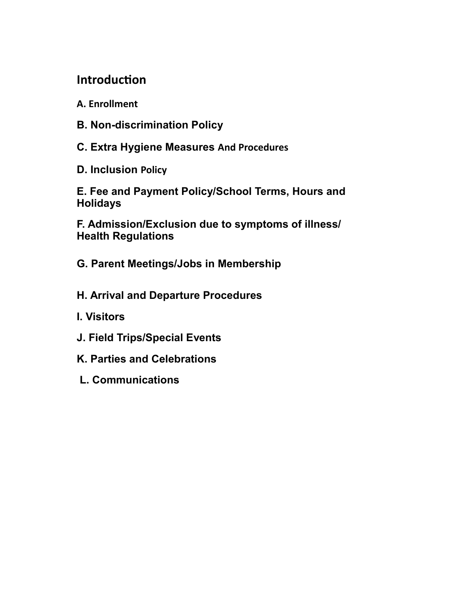### **Introduction**

- **A. Enrollment**
- **B. Non-discrimination Policy**
- **C. Extra Hygiene Measures And Procedures**
- **D. Inclusion Policy**

E. Fee and Payment Policy/School Terms, Hours and **Holidays** 

F. Admission/Exclusion due to symptoms of illness/ **Health Regulations** 

- G. Parent Meetings/Jobs in Membership
- H. Arrival and Departure Procedures
- **I. Visitors**
- J. Field Trips/Special Events
- K. Parties and Celebrations
- **L. Communications**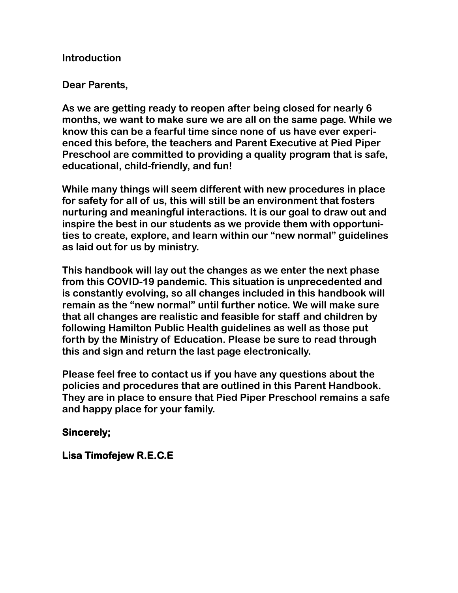#### **Introduction**

#### **Dear Parents,**

**As we are getting ready to reopen after being closed for nearly 6 months, we want to make sure we are all on the same page. While we know this can be a fearful time since none of us have ever experienced this before, the teachers and Parent Executive at Pied Piper Preschool are committed to providing a quality program that is safe, educational, child-friendly, and fun!** 

**While many things will seem different with new procedures in place for safety for all of us, this will still be an environment that fosters nurturing and meaningful interactions. It is our goal to draw out and inspire the best in our students as we provide them with opportuni**ties to create, explore, and learn within our "new normal" quidelines **as laid out for us by ministry.** 

**This handbook will lay out the changes as we enter the next phase from this COVID-19 pandemic. This situation is unprecedented and is constantly evolving, so all changes included in this handbook will**  remain as the "new normal" until further notice. We will make sure **that all changes are realistic and feasible for staff and children by following Hamilton Public Health guidelines as well as those put forth by the Ministry of Education. Please be sure to read through this and sign and return the last page electronically.** 

**Please feel free to contact us if you have any questions about the policies and procedures that are outlined in this Parent Handbook. They are in place to ensure that Pied Piper Preschool remains a safe and happy place for your family.**

#### **Sincerely;**

#### **Lisa Timofejew R.E.C.E**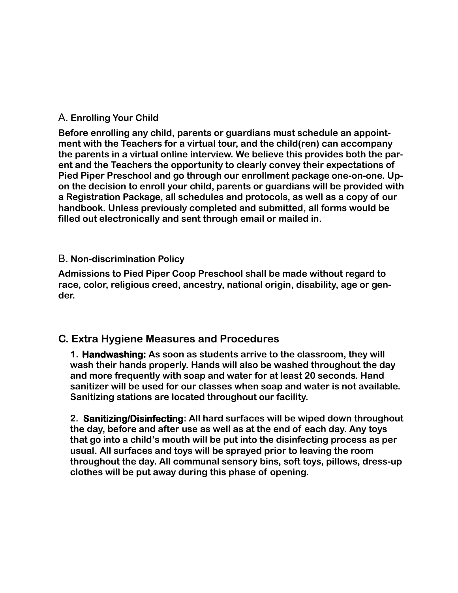#### A**. Enrolling Your Child**

**Before enrolling any child, parents or guardians must schedule an appointment with the Teachers for a virtual tour, and the child(ren) can accompany the parents in a virtual online interview. We believe this provides both the parent and the Teachers the opportunity to clearly convey their expectations of Pied Piper Preschool and go through our enrollment package one-on-one. Upon the decision to enroll your child, parents or guardians will be provided with a Registration Package, all schedules and protocols, as well as a copy of our handbook. Unless previously completed and submitted, all forms would be filled out electronically and sent through email or mailed in.** 

#### B**. Non-discrimination Policy**

**Admissions to Pied Piper Coop Preschool shall be made without regard to race, color, religious creed, ancestry, national origin, disability, age or gender.** 

#### **C. Extra Hygiene Measures and Procedures**

**1. Handwashing: As soon as students arrive to the classroom, they will wash their hands properly. Hands will also be washed throughout the day and more frequently with soap and water for at least 20 seconds. Hand sanitizer will be used for our classes when soap and water is not available. Sanitizing stations are located throughout our facility.**

**2. Sanitizing/Disinfecting: All hard surfaces will be wiped down throughout the day, before and after use as well as at the end of each day. Any toys**  that go into a child's mouth will be put into the disinfecting process as per **usual. All surfaces and toys will be sprayed prior to leaving the room throughout the day. All communal sensory bins, soft toys, pillows, dress-up clothes will be put away during this phase of opening.**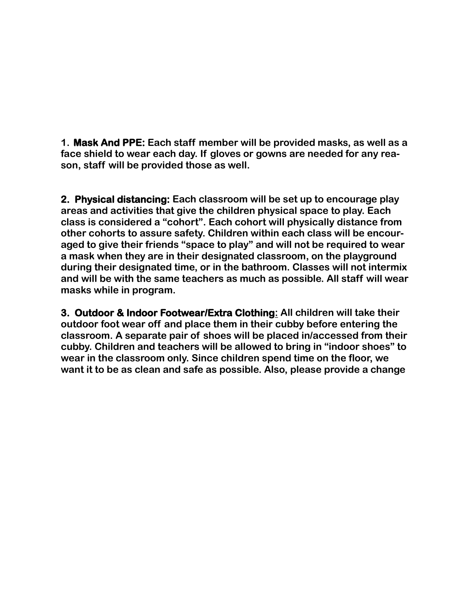**1. Mask And PPE: Each staff member will be provided masks, as well as a face shield to wear each day. If gloves or gowns are needed for any reason, staff will be provided those as well.**

**2. Physical distancing: Each classroom will be set up to encourage play areas and activities that give the children physical space to play. Each** class is considered a "cohort". Each cohort will physically distance from **other cohorts to assure safety. Children within each class will be encour**aged to give their friends "space to play" and will not be required to wear **a mask when they are in their designated classroom, on the playground during their designated time, or in the bathroom. Classes will not intermix and will be with the same teachers as much as possible. All staff will wear masks while in program.**

**3. Outdoor & Indoor Footwear/Extra Clothing: All children will take their outdoor foot wear off and place them in their cubby before entering the classroom. A separate pair of shoes will be placed in/accessed from their** cubby. Children and teachers will be allowed to bring in "indoor shoes" to **wear in the classroom only. Since children spend time on the floor, we want it to be as clean and safe as possible. Also, please provide a change**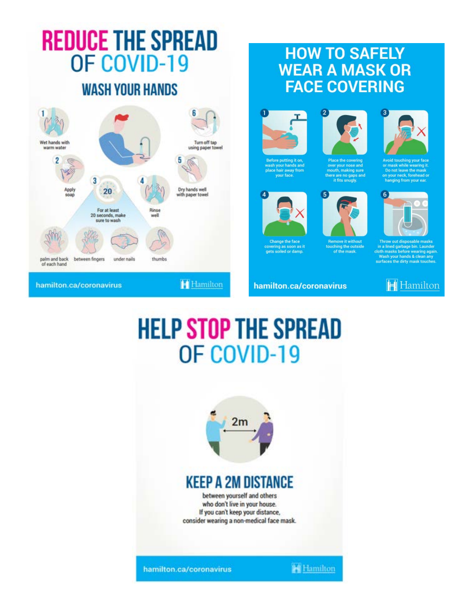# **REDUCE THE SPREAD** OF COVID-19

## **WASH YOUR HANDS**



## **HOW TO SAFELY WEAR A MASK OR FACE COVERING**



wash your hands and<br>place hair away from<br>your face.

Change the face

se it

hamilton.ca/coronavirus

covering as soon as i<br>gets soiled or damp.



over your nose and<br>mouth, making sure

**Remove it without** ching the outside<br>of the mask.

touch

e are no gaps and<br>it fits snugly.



**Avoid touching your fac** Do not leave the mask on your neck, forehead o<br>hanging from your ear.



cloth masks before wearing agair Wash your hands & clean any<br>surfaces the dirty mask touches.



## **HELP STOP THE SPREAD** OF COVID-19



## **KEEP A 2M DISTANCE**

between yourself and others who don't live in your house. If you can't keep your distance, consider wearing a non-medical face mask.

hamilton.ca/coronavirus

**See Hamilton**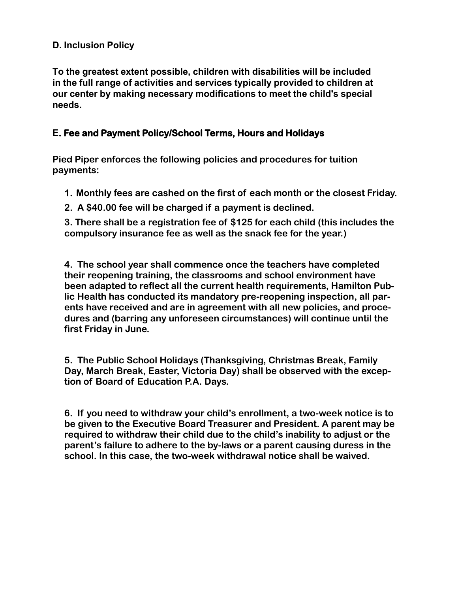#### **D. Inclusion Policy**

**To the greatest extent possible, children with disabilities will be included in the full range of activities and services typically provided to children at our center by making necessary modifications to meet the child's special needs.** 

#### **E. Fee and Payment Policy/School Terms, Hours and Holidays**

**Pied Piper enforces the following policies and procedures for tuition payments:** 

- **1. Monthly fees are cashed on the first of each month or the closest Friday.**
- **2. A \$40.00 fee will be charged if a payment is declined.**

**3. There shall be a registration fee of \$125 for each child (this includes the compulsory insurance fee as well as the snack fee for the year.)**

**4. The school year shall commence once the teachers have completed their reopening training, the classrooms and school environment have been adapted to reflect all the current health requirements, Hamilton Public Health has conducted its mandatory pre-reopening inspection, all parents have received and are in agreement with all new policies, and procedures and (barring any unforeseen circumstances) will continue until the first Friday in June.**

**5. The Public School Holidays (Thanksgiving, Christmas Break, Family Day, March Break, Easter, Victoria Day) shall be observed with the exception of Board of Education P.A. Days.**

**6.** If you need to withdraw your child's enrollment, a two-week notice is to **be given to the Executive Board Treasurer and President. A parent may be** required to withdraw their child due to the child's inability to adjust or the parent's failure to adhere to the by-laws or a parent causing duress in the **school. In this case, the two-week withdrawal notice shall be waived.**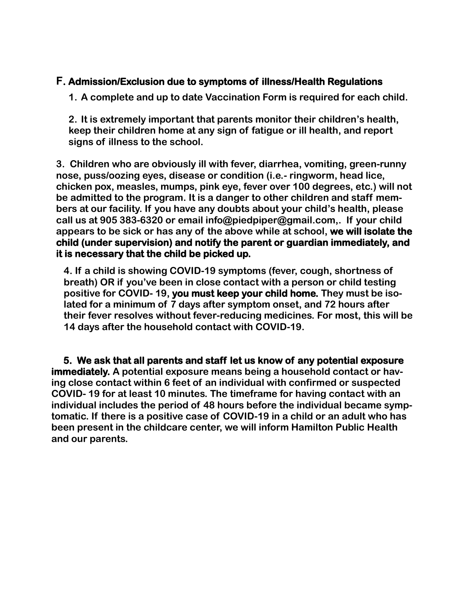#### **F. Admission/Exclusion due to symptoms of illness/Health Regulations**

**1. A complete and up to date Vaccination Form is required for each child.**

**2.** It is extremely important that parents monitor their children's health, **keep their children home at any sign of fatigue or ill health, and report signs of illness to the school.**

**3. Children who are obviously ill with fever, diarrhea, vomiting, green-runny nose, puss/oozing eyes, disease or condition (i.e.- ringworm, head lice, chicken pox, measles, mumps, pink eye, fever over 100 degrees, etc.) will not be admitted to the program. It is a danger to other children and staff mem**bers at our facility. If you have any doubts about your child's health, please **call us at 905 383-6320 or email info@piedpiper@gmail.com,. If your child appears to be sick or has any of the above while at school, we will isolate the child (under supervision) and notify the parent or guardian immediately, and it is necessary that the child be picked up.** 

**4. If a child is showing COVID-19 symptoms (fever, cough, shortness of**  breath) OR if you've been in close contact with a person or child testing **positive for COVID- 19, you must keep your child home. They must be isolated for a minimum of 7 days after symptom onset, and 72 hours after their fever resolves without fever-reducing medicines. For most, this will be 14 days after the household contact with COVID-19.**

 **5. We ask that all parents and staff let us know of any potential exposure immediately. A potential exposure means being a household contact or having close contact within 6 feet of an individual with confirmed or suspected COVID- 19 for at least 10 minutes. The timeframe for having contact with an individual includes the period of 48 hours before the individual became symptomatic. If there is a positive case of COVID-19 in a child or an adult who has been present in the childcare center, we will inform Hamilton Public Health and our parents.**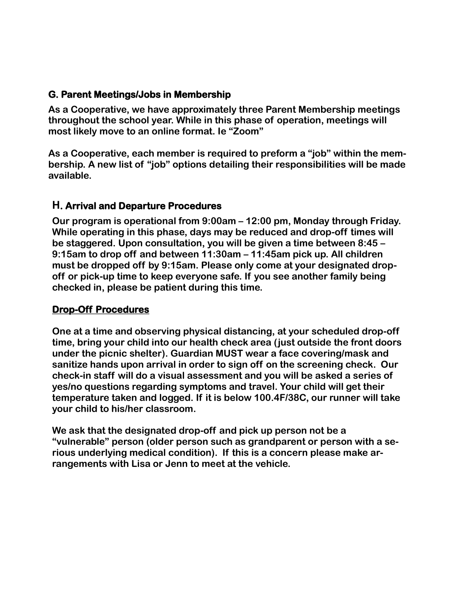#### **G. Parent Meetings/Jobs in Membership**

**As a Cooperative, we have approximately three Parent Membership meetings throughout the school year. While in this phase of operation, meetings will most likely move to an online format. Ie "Zoom"** 

As a Cooperative, each member is required to preform a "job" within the membership. A new list of "job" options detailing their responsibilities will be made **available.** 

#### **H. Arrival and Departure Procedures**

**Our program is operational from 9:00am – 12:00 pm, Monday through Friday. While operating in this phase, days may be reduced and drop-off times will**  be staggered. Upon consultation, you will be given a time between 8:45 -9:15am to drop off and between 11:30am – 11:45am pick up. All children **must be dropped off by 9:15am. Please only come at your designated dropoff or pick-up time to keep everyone safe. If you see another family being checked in, please be patient during this time.** 

#### **Drop-Off Procedures**

**One at a time and observing physical distancing, at your scheduled drop-off time, bring your child into our health check area (just outside the front doors under the picnic shelter). Guardian MUST wear a face covering/mask and sanitize hands upon arrival in order to sign off on the screening check. Our check-in staff will do a visual assessment and you will be asked a series of yes/no questions regarding symptoms and travel. Your child will get their temperature taken and logged. If it is below 100.4F/38C, our runner will take your child to his/her classroom.** 

**We ask that the designated drop-off and pick up person not be a ´vulnerableµ person (older person such as grandparent or person with a serious underlying medical condition). If this is a concern please make arrangements with Lisa or Jenn to meet at the vehicle.**